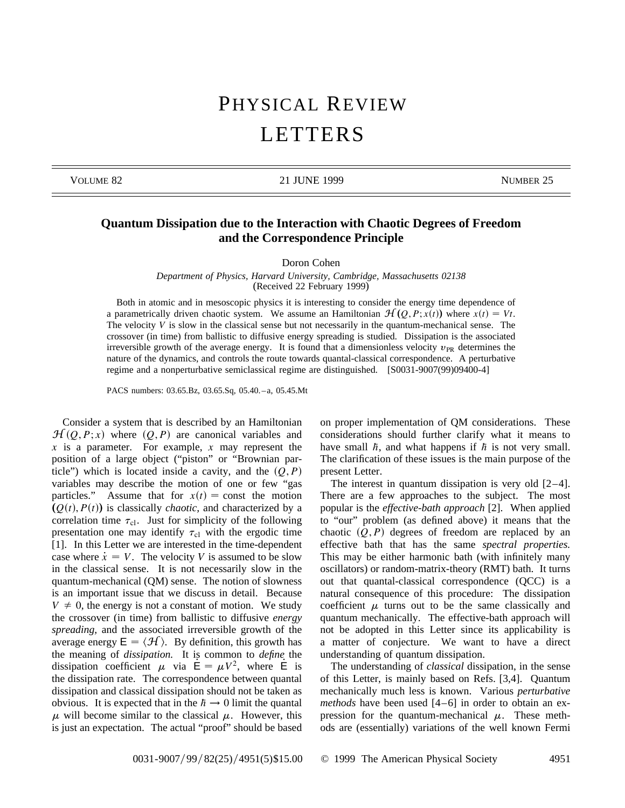## PHYSICAL REVIEW LETTERS

VOLUME 82 21 JUNE 1999 NUMBER 25

## **Quantum Dissipation due to the Interaction with Chaotic Degrees of Freedom and the Correspondence Principle**

Doron Cohen

*Department of Physics, Harvard University, Cambridge, Massachusetts 02138* (Received 22 February 1999)

Both in atomic and in mesoscopic physics it is interesting to consider the energy time dependence of a parametrically driven chaotic system. We assume an Hamiltonian  $\mathcal{H}(Q, P; x(t))$  where  $x(t) = Vt$ . The velocity *V* is slow in the classical sense but not necessarily in the quantum-mechanical sense. The crossover (in time) from ballistic to diffusive energy spreading is studied. Dissipation is the associated irreversible growth of the average energy. It is found that a dimensionless velocity  $v_{PR}$  determines the nature of the dynamics, and controls the route towards quantal-classical correspondence. A perturbative regime and a nonperturbative semiclassical regime are distinguished. [S0031-9007(99)09400-4]

PACS numbers: 03.65.Bz, 03.65.Sq, 05.40. – a, 05.45.Mt

Consider a system that is described by an Hamiltonian  $\mathcal{H}(Q, P; x)$  where  $(Q, P)$  are canonical variables and *x* is a parameter. For example, *x* may represent the position of a large object ("piston" or "Brownian particle") which is located inside a cavity, and the  $(Q, P)$ variables may describe the motion of one or few "gas particles." Assume that for  $x(t) =$  const the motion  $(Q(t), P(t))$  is classically *chaotic*, and characterized by a correlation time  $\tau_{\text{cl}}$ . Just for simplicity of the following presentation one may identify  $\tau_{\text{cl}}$  with the ergodic time [1]. In this Letter we are interested in the time-dependent case where  $\dot{x} = V$ . The velocity *V* is assumed to be slow in the classical sense. It is not necessarily slow in the quantum-mechanical (QM) sense. The notion of slowness is an important issue that we discuss in detail. Because  $V \neq 0$ , the energy is not a constant of motion. We study the crossover (in time) from ballistic to diffusive *energy spreading,* and the associated irreversible growth of the average energy  $E = \langle \mathcal{H} \rangle$ . By definition, this growth has the meaning of *dissipation.* It is common to *define* the dissipation coefficient  $\mu$  via  $E = \mu V^2$ , where E is the dissipation rate. The correspondence between quantal dissipation and classical dissipation should not be taken as obvious. It is expected that in the  $h \rightarrow 0$  limit the quantal  $\mu$  will become similar to the classical  $\mu$ . However, this is just an expectation. The actual "proof" should be based

on proper implementation of QM considerations. These considerations should further clarify what it means to have small  $\hbar$ , and what happens if  $\hbar$  is not very small. The clarification of these issues is the main purpose of the present Letter.

The interest in quantum dissipation is very old  $[2-4]$ . There are a few approaches to the subject. The most popular is the *effective-bath approach* [2]. When applied to "our" problem (as defined above) it means that the chaotic  $(Q, P)$  degrees of freedom are replaced by an effective bath that has the same *spectral properties.* This may be either harmonic bath (with infinitely many oscillators) or random-matrix-theory (RMT) bath. It turns out that quantal-classical correspondence (QCC) is a natural consequence of this procedure: The dissipation coefficient  $\mu$  turns out to be the same classically and quantum mechanically. The effective-bath approach will not be adopted in this Letter since its applicability is a matter of conjecture. We want to have a direct understanding of quantum dissipation.

The understanding of *classical* dissipation, in the sense of this Letter, is mainly based on Refs. [3,4]. Quantum mechanically much less is known. Various *perturbative methods* have been used [4–6] in order to obtain an expression for the quantum-mechanical  $\mu$ . These methods are (essentially) variations of the well known Fermi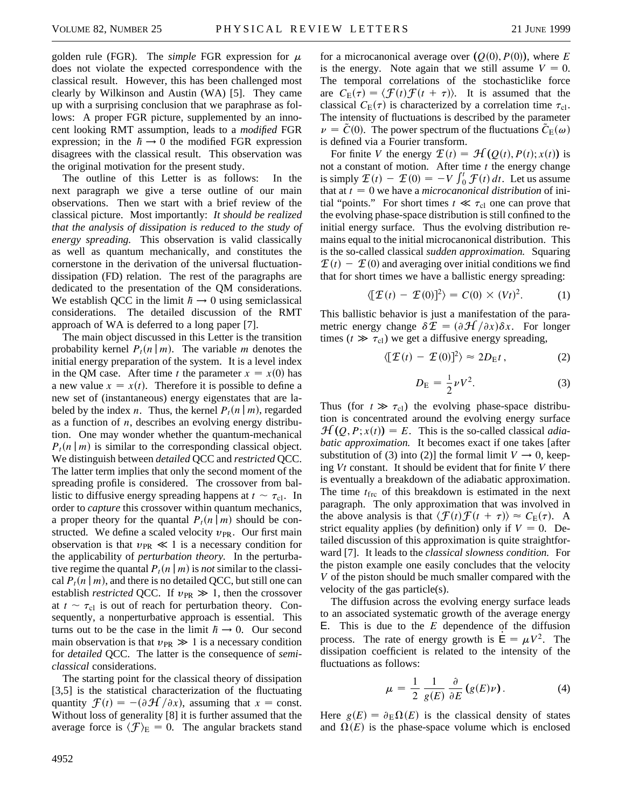golden rule (FGR). The *simple* FGR expression for  $\mu$ does not violate the expected correspondence with the classical result. However, this has been challenged most clearly by Wilkinson and Austin (WA) [5]. They came up with a surprising conclusion that we paraphrase as follows: A proper FGR picture, supplemented by an innocent looking RMT assumption, leads to a *modified* FGR expression; in the  $h \rightarrow 0$  the modified FGR expression disagrees with the classical result. This observation was the original motivation for the present study.

The outline of this Letter is as follows: In the next paragraph we give a terse outline of our main observations. Then we start with a brief review of the classical picture. Most importantly: *It should be realized that the analysis of dissipation is reduced to the study of energy spreading.* This observation is valid classically as well as quantum mechanically, and constitutes the cornerstone in the derivation of the universal fluctuationdissipation (FD) relation. The rest of the paragraphs are dedicated to the presentation of the QM considerations. We establish QCC in the limit  $h \rightarrow 0$  using semiclassical considerations. The detailed discussion of the RMT approach of WA is deferred to a long paper [7].

The main object discussed in this Letter is the transition probability kernel  $P_t(n|m)$ . The variable *m* denotes the initial energy preparation of the system. It is a level index in the QM case. After time *t* the parameter  $x = x(0)$  has a new value  $x = x(t)$ . Therefore it is possible to define a new set of (instantaneous) energy eigenstates that are labeled by the index *n*. Thus, the kernel  $P_t(n|m)$ , regarded as a function of *n*, describes an evolving energy distribution. One may wonder whether the quantum-mechanical  $P_t(n|m)$  is similar to the corresponding classical object. We distinguish between *detailed* QCC and *restricted* QCC. The latter term implies that only the second moment of the spreading profile is considered. The crossover from ballistic to diffusive energy spreading happens at  $t \sim \tau_{\text{cl}}$ . In order to *capture* this crossover within quantum mechanics, a proper theory for the quantal  $P_t(n|m)$  should be constructed. We define a scaled velocity  $v_{PR}$ . Our first main observation is that  $v_{PR} \ll 1$  is a necessary condition for the applicability of *perturbation theory.* In the perturbative regime the quantal  $P_t(n|m)$  is *not* similar to the classical  $P_t(n|m)$ , and there is no detailed QCC, but still one can establish *restricted* QCC. If  $v_{PR} \gg 1$ , then the crossover at  $t \sim \tau_{\text{cl}}$  is out of reach for perturbation theory. Consequently, a nonperturbative approach is essential. This turns out to be the case in the limit  $h \rightarrow 0$ . Our second main observation is that  $v_{PR} \gg 1$  is a necessary condition for *detailed* QCC. The latter is the consequence of *semiclassical* considerations.

The starting point for the classical theory of dissipation [3,5] is the statistical characterization of the fluctuating quantity  $\mathcal{F}(t) = -\left(\frac{\partial \mathcal{H}}{\partial x}\right)$ , assuming that  $x = \text{const.}$ Without loss of generality [8] it is further assumed that the average force is  $\langle \mathcal{F} \rangle_E = 0$ . The angular brackets stand

for a microcanonical average over  $(Q(0), P(0))$ , where *E* is the energy. Note again that we still assume  $V = 0$ . The temporal correlations of the stochasticlike force are  $C_{\rm E}(\tau) = \langle \mathcal{F}(t) \mathcal{F}(t+\tau) \rangle$ . It is assumed that the classical  $C_{\text{E}}(\tau)$  is characterized by a correlation time  $\tau_{\text{cl}}$ . The intensity of fluctuations is described by the parameter  $\nu = \tilde{C}(0)$ . The power spectrum of the fluctuations  $\tilde{C}_{E}(\omega)$ is defined via a Fourier transform.

For finite *V* the energy  $\mathcal{F}(t) = \mathcal{H}(Q(t), P(t); x(t))$  is not a constant of motion. After time  $t$  the energy change is simply  $\mathcal{E}(t) - \mathcal{E}(0) = -V \int_0^t \mathcal{F}(t) dt$ . Let us assume that at  $t = 0$  we have a *microcanonical distribution* of initial "points." For short times  $t \ll \tau_{cl}$  one can prove that the evolving phase-space distribution is still confined to the initial energy surface. Thus the evolving distribution remains equal to the initial microcanonical distribution. This is the so-called classical *sudden approximation.* Squaring  $\mathcal{I}(t) - \mathcal{I}(0)$  and averaging over initial conditions we find that for short times we have a ballistic energy spreading:

$$
\langle [\mathcal{I}(t) - \mathcal{I}(0)]^2 \rangle = C(0) \times (Vt)^2.
$$
 (1)

This ballistic behavior is just a manifestation of the parametric energy change  $\delta \mathcal{F} = (\partial \mathcal{H}/\partial x)\delta x$ . For longer times ( $t \gg \tau_{\text{cl}}$ ) we get a diffusive energy spreading,

$$
\langle [\mathcal{I}(t) - \mathcal{I}(0)]^2 \rangle \approx 2D_{\mathrm{E}}t, \qquad (2)
$$

$$
D_{\rm E} = \frac{1}{2} \nu V^2. \tag{3}
$$

Thus (for  $t \gg \tau_{\text{cl}}$ ) the evolving phase-space distribution is concentrated around the evolving energy surface  $\mathcal{H}(Q, P; x(t)) = E$ . This is the so-called classical *adiabatic approximation.* It becomes exact if one takes [after substitution of (3) into (2)] the formal limit  $V \rightarrow 0$ , keeping *Vt* constant. It should be evident that for finite *V* there is eventually a breakdown of the adiabatic approximation. The time  $t_{\text{frc}}$  of this breakdown is estimated in the next paragraph. The only approximation that was involved in the above analysis is that  $\langle \mathcal{F}(t) \mathcal{F}(t + \tau) \rangle \approx C_{\rm E}(\tau)$ . A strict equality applies (by definition) only if  $V = 0$ . Detailed discussion of this approximation is quite straightforward [7]. It leads to the *classical slowness condition.* For the piston example one easily concludes that the velocity *V* of the piston should be much smaller compared with the velocity of the gas particle(s).

The diffusion across the evolving energy surface leads to an associated systematic growth of the average energy E. This is due to the *E* dependence of the diffusion process. The rate of energy growth is  $\mathbf{E} = \mu V^2$ . The dissipation coefficient is related to the intensity of the fluctuations as follows:

$$
\mu = \frac{1}{2} \frac{1}{g(E)} \frac{\partial}{\partial E} (g(E)\nu).
$$
 (4)

Here  $g(E) = \partial_E \Omega(E)$  is the classical density of states and  $\Omega(E)$  is the phase-space volume which is enclosed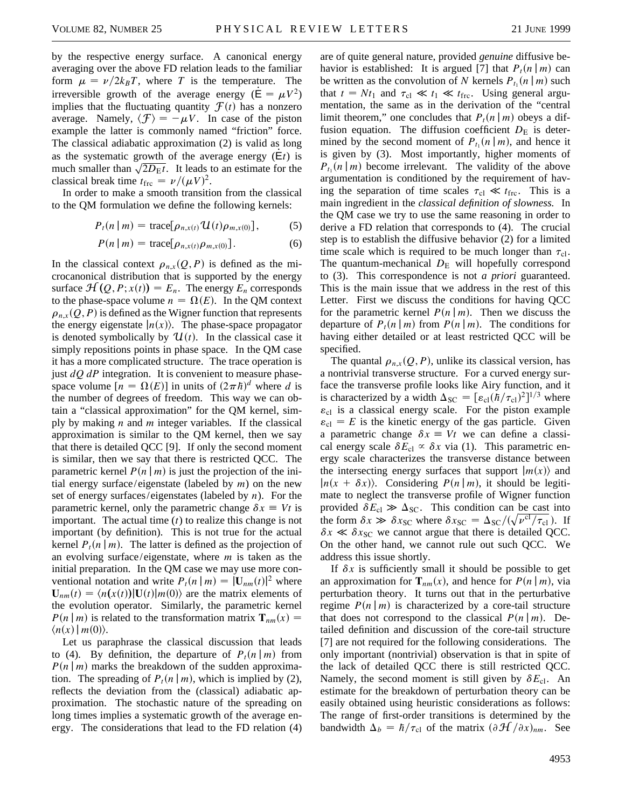by the respective energy surface. A canonical energy averaging over the above FD relation leads to the familiar form  $\mu = \nu/2k_BT$ , where *T* is the temperature. The irreversible growth of the average energy ( $E = \mu V^2$ ) implies that the fluctuating quantity  $\mathcal{F}(t)$  has a nonzero average. Namely,  $\langle \mathcal{F} \rangle = -\mu V$ . In case of the piston example the latter is commonly named "friction" force. The classical adiabatic approximation (2) is valid as long as the systematic growth of the average energy  $(E_t)$  is as the systematic growth or the average energy ( $Et$ ) is<br>much smaller than  $\sqrt{2D_Et}$ . It leads to an estimate for the classical break time  $t_{\text{frc}} = \nu / (\mu V)^2$ .

In order to make a smooth transition from the classical to the QM formulation we define the following kernels:

$$
P_t(n \mid m) = \text{trace}[\rho_{n,x(t)} \mathcal{U}(t) \rho_{m,x(0)}], \quad (5)
$$

$$
P(n \mid m) = \text{trace}[\rho_{n,x(t)}\rho_{m,x(0)}]. \tag{6}
$$

In the classical context  $\rho_{n,x}(Q, P)$  is defined as the microcanonical distribution that is supported by the energy surface  $\mathcal{H}(Q, P; x(t)) = E_n$ . The energy  $E_n$  corresponds to the phase-space volume  $n = \Omega(E)$ . In the QM context  $\rho_{n,x}(Q, P)$  is defined as the Wigner function that represents the energy eigenstate  $|n(x)\rangle$ . The phase-space propagator is denoted symbolically by  $\mathcal{U}(t)$ . In the classical case it simply repositions points in phase space. In the QM case it has a more complicated structure. The trace operation is just *dQ dP* integration. It is convenient to measure phasespace volume  $[n = \Omega(E)]$  in units of  $(2\pi\hbar)^d$  where *d* is the number of degrees of freedom. This way we can obtain a "classical approximation" for the QM kernel, simply by making *n* and *m* integer variables. If the classical approximation is similar to the QM kernel, then we say that there is detailed QCC [9]. If only the second moment is similar, then we say that there is restricted QCC. The parametric kernel  $P(n | m)$  is just the projection of the initial energy surface/eigenstate (labeled by *m*) on the new set of energy surfaces/eigenstates (labeled by *n*). For the parametric kernel, only the parametric change  $\delta x \equiv Vt$  is important. The actual time (*t*) to realize this change is not important (by definition). This is not true for the actual kernel  $P_t(n|m)$ . The latter is defined as the projection of an evolving surface/eigenstate, where *m* is taken as the initial preparation. In the QM case we may use more conventional notation and write  $P_t(n | m) = |\mathbf{U}_{nm}(t)|^2$  where  $\mathbf{U}_{nm}(t) = \langle n(x(t)) | \mathbf{U}(t) | m(0) \rangle$  are the matrix elements of the evolution operator. Similarly, the parametric kernel  $P(n|m)$  is related to the transformation matrix  $\mathbf{T}_{nm}(x) =$  $\langle n(x) | m(0) \rangle$ .

Let us paraphrase the classical discussion that leads to (4). By definition, the departure of  $P_t(n|m)$  from  $P(n|m)$  marks the breakdown of the sudden approximation. The spreading of  $P_t(n|m)$ , which is implied by (2), reflects the deviation from the (classical) adiabatic approximation. The stochastic nature of the spreading on long times implies a systematic growth of the average energy. The considerations that lead to the FD relation (4)

are of quite general nature, provided *genuine* diffusive behavior is established: It is argued [7] that  $P_t(n|m)$  can be written as the convolution of *N* kernels  $P_{t_1}(n|m)$  such that  $t = Nt_1$  and  $\tau_{\text{cl}} \ll t_1 \ll t_{\text{frc}}$ . Using general argumentation, the same as in the derivation of the "central limit theorem," one concludes that  $P_t(n|m)$  obeys a diffusion equation. The diffusion coefficient  $D<sub>E</sub>$  is determined by the second moment of  $P_{t_1}(n|m)$ , and hence it is given by (3). Most importantly, higher moments of  $P_{t_1}(n|m)$  become irrelevant. The validity of the above argumentation is conditioned by the requirement of having the separation of time scales  $\tau_{cl} \ll t_{frc}$ . This is a main ingredient in the *classical definition of slowness.* In the QM case we try to use the same reasoning in order to derive a FD relation that corresponds to (4). The crucial step is to establish the diffusive behavior (2) for a limited time scale which is required to be much longer than  $\tau_{cl}$ . The quantum-mechanical  $D<sub>E</sub>$  will hopefully correspond to (3). This correspondence is not *a priori* guaranteed. This is the main issue that we address in the rest of this Letter. First we discuss the conditions for having QCC for the parametric kernel  $P(n|m)$ . Then we discuss the departure of  $P_t(n|m)$  from  $P(n|m)$ . The conditions for having either detailed or at least restricted QCC will be specified.

The quantal  $\rho_{n,x}(Q, P)$ , unlike its classical version, has a nontrivial transverse structure. For a curved energy surface the transverse profile looks like Airy function, and it is characterized by a width  $\Delta_{SC} = [\varepsilon_{cl}(\hbar/\tau_{cl})^2]^{1/3}$  where  $\varepsilon_{\rm cl}$  is a classical energy scale. For the piston example  $\varepsilon_{\rm cl} = E$  is the kinetic energy of the gas particle. Given a parametric change  $\delta x \equiv Vt$  we can define a classical energy scale  $\delta E_{cl} \propto \delta x$  via (1). This parametric energy scale characterizes the transverse distance between the intersecting energy surfaces that support  $|m(x)\rangle$  and  $|n(x + \delta x)\rangle$ . Considering *P(n|m)*, it should be legitimate to neglect the transverse profile of Wigner function provided  $\delta E_{\text{cl}} \gg \Delta_{\text{SC}}$ . This condition can be cast into the form  $\delta x \gg \delta x_{SC}$  where  $\delta x_{SC} = \Delta_{SC}/(\sqrt{v^{cT}/\tau_{cl}})$ . If  $\delta x \ll \delta x_{SC}$  we cannot argue that there is detailed QCC. On the other hand, we cannot rule out such QCC. We address this issue shortly.

If  $\delta x$  is sufficiently small it should be possible to get an approximation for  $\mathbf{T}_{nm}(x)$ , and hence for  $P(n|m)$ , via perturbation theory. It turns out that in the perturbative regime  $P(n|m)$  is characterized by a core-tail structure that does not correspond to the classical  $P(n|m)$ . Detailed definition and discussion of the core-tail structure [7] are not required for the following considerations. The only important (nontrivial) observation is that in spite of the lack of detailed QCC there is still restricted QCC. Namely, the second moment is still given by  $\delta E_{\text{cl}}$ . An estimate for the breakdown of perturbation theory can be easily obtained using heuristic considerations as follows: The range of first-order transitions is determined by the bandwidth  $\Delta_b = \hbar / \tau_{\text{cl}}$  of the matrix  $(\partial \mathcal{H}/\partial x)_{nm}$ . See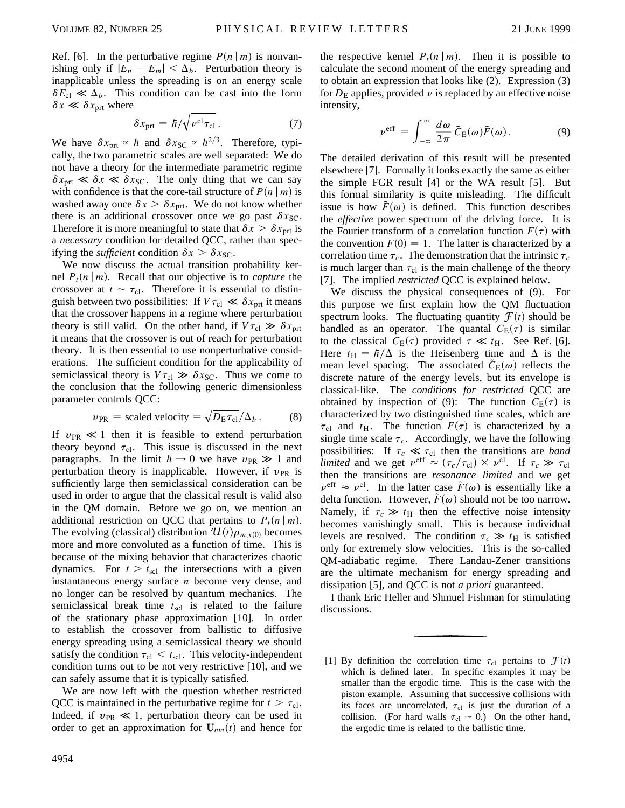Ref. [6]. In the perturbative regime  $P(n|m)$  is nonvanishing only if  $|E_n - E_m| < \Delta_b$ . Perturbation theory is inapplicable unless the spreading is on an energy scale  $\delta E_{\rm cl} \ll \Delta_b$ . This condition can be cast into the form  $\delta x \ll \delta x_{\text{prt}}$  where

$$
\delta x_{\rm prt} = \hbar / \sqrt{\nu^{\rm cl} \tau_{\rm cl}} \,. \tag{7}
$$

We have  $\delta x_{\text{prt}} \propto \hbar$  and  $\delta x_{\text{SC}} \propto \hbar^{2/3}$ . Therefore, typically, the two parametric scales are well separated: We do not have a theory for the intermediate parametric regime  $\delta x_{\text{prt}} \ll \delta x \ll \delta x_{\text{SC}}$ . The only thing that we can say with confidence is that the core-tail structure of  $P(n|m)$  is washed away once  $\delta x > \delta x_{\text{prt}}$ . We do not know whether there is an additional crossover once we go past  $\delta x_{SC}$ . Therefore it is more meaningful to state that  $\delta x > \delta x_{\text{ort}}$  is a *necessary* condition for detailed QCC, rather than specifying the *sufficient* condition  $\delta x > \delta x_{\text{SC}}$ .

We now discuss the actual transition probability kernel  $P_t(n|m)$ . Recall that our objective is to *capture* the crossover at  $t \sim \tau_{\text{cl}}$ . Therefore it is essential to distinguish between two possibilities: If  $V\tau_{\text{cl}} \ll \delta x_{\text{prt}}$  it means that the crossover happens in a regime where perturbation theory is still valid. On the other hand, if  $V\tau_{\rm cl} \gg \delta x_{\rm prt}$ it means that the crossover is out of reach for perturbation theory. It is then essential to use nonperturbative considerations. The sufficient condition for the applicability of semiclassical theory is  $V\tau_{\text{cl}} \gg \delta x_{\text{SC}}$ . Thus we come to the conclusion that the following generic dimensionless parameter controls QCC:

$$
v_{\text{PR}}
$$
 = scaled velocity =  $\sqrt{D_{\text{E}} \tau_{\text{cl}}}/\Delta_b$ . (8)

If  $v_{PR} \ll 1$  then it is feasible to extend perturbation theory beyond  $\tau_{cl}$ . This issue is discussed in the next paragraphs. In the limit  $\hbar \rightarrow 0$  we have  $v_{PR} \gg 1$  and perturbation theory is inapplicable. However, if  $v_{PR}$  is sufficiently large then semiclassical consideration can be used in order to argue that the classical result is valid also in the QM domain. Before we go on, we mention an additional restriction on QCC that pertains to  $P_t(n|m)$ . The evolving (classical) distribution  $\mathcal{U}(t)\rho_{m,x(0)}$  becomes more and more convoluted as a function of time. This is because of the mixing behavior that characterizes chaotic dynamics. For  $t > t_{\text{sel}}$  the intersections with a given instantaneous energy surface *n* become very dense, and no longer can be resolved by quantum mechanics. The semiclassical break time  $t_{\text{sc}}$  is related to the failure of the stationary phase approximation [10]. In order to establish the crossover from ballistic to diffusive energy spreading using a semiclassical theory we should satisfy the condition  $\tau_{cl} < t_{\text{scl}}$ . This velocity-independent condition turns out to be not very restrictive [10], and we can safely assume that it is typically satisfied.

We are now left with the question whether restricted QCC is maintained in the perturbative regime for  $t > \tau_{\text{cl}}$ . Indeed, if  $v_{PR} \ll 1$ , perturbation theory can be used in order to get an approximation for  $U_{nm}(t)$  and hence for the respective kernel  $P_t(n|m)$ . Then it is possible to calculate the second moment of the energy spreading and to obtain an expression that looks like (2). Expression (3) for  $D<sub>E</sub>$  applies, provided  $\nu$  is replaced by an effective noise intensity,

$$
\nu^{\rm eff} = \int_{-\infty}^{\infty} \frac{d\omega}{2\pi} \, \tilde{C}_{\rm E}(\omega) \tilde{F}(\omega). \tag{9}
$$

The detailed derivation of this result will be presented elsewhere [7]. Formally it looks exactly the same as either the simple FGR result [4] or the WA result [5]. But this formal similarity is quite misleading. The difficult issue is how  $F(\omega)$  is defined. This function describes the *effective* power spectrum of the driving force. It is the Fourier transform of a correlation function  $F(\tau)$  with the convention  $F(0) = 1$ . The latter is characterized by a correlation time  $\tau_c$ . The demonstration that the intrinsic  $\tau_c$ is much larger than  $\tau_{\text{cl}}$  is the main challenge of the theory [7]. The implied *restricted* QCC is explained below.

We discuss the physical consequences of (9). For this purpose we first explain how the QM fluctuation spectrum looks. The fluctuating quantity  $\mathcal{F}(t)$  should be handled as an operator. The quantal  $C_E(\tau)$  is similar to the classical  $C_{\rm E}(\tau)$  provided  $\tau \ll t_{\rm H}$ . See Ref. [6]. Here  $t_H = \hbar/\Delta$  is the Heisenberg time and  $\Delta$  is the mean level spacing. The associated  $\tilde{C}_{E}(\omega)$  reflects the discrete nature of the energy levels, but its envelope is classical-like. The *conditions for restricted* QCC are obtained by inspection of (9): The function  $C_{\rm E}(\tau)$  is characterized by two distinguished time scales, which are  $\tau_{\rm cl}$  and  $t_{\rm H}$ . The function  $F(\tau)$  is characterized by a single time scale  $\tau_c$ . Accordingly, we have the following possibilities: If  $\tau_c \ll \tau_{cl}$  then the transitions are *band limited* and we get  $\nu^{\text{eff}} \approx (\tau_c/\tau_{\text{cl}}) \times \nu^{\text{cl}}$ . If  $\tau_c \gg \tau_{\text{cl}}$ then the transitions are *resonance limited* and we get  $\nu^{\text{eff}} \approx \nu^{\text{cl}}$ . In the latter case  $\tilde{F}(\omega)$  is essentially like a delta function. However,  $\tilde{F}(\omega)$  should not be too narrow. Namely, if  $\tau_c \gg t_H$  then the effective noise intensity becomes vanishingly small. This is because individual levels are resolved. The condition  $\tau_c \gg t_H$  is satisfied only for extremely slow velocities. This is the so-called QM-adiabatic regime. There Landau-Zener transitions are the ultimate mechanism for energy spreading and dissipation [5], and QCC is not *a priori* guaranteed.

I thank Eric Heller and Shmuel Fishman for stimulating discussions.

<sup>[1]</sup> By definition the correlation time  $\tau_{cl}$  pertains to  $\mathcal{F}(t)$ which is defined later. In specific examples it may be smaller than the ergodic time. This is the case with the piston example. Assuming that successive collisions with its faces are uncorrelated,  $\tau_{\text{cl}}$  is just the duration of a collision. (For hard walls  $\tau_{cl} \sim 0$ .) On the other hand, the ergodic time is related to the ballistic time.